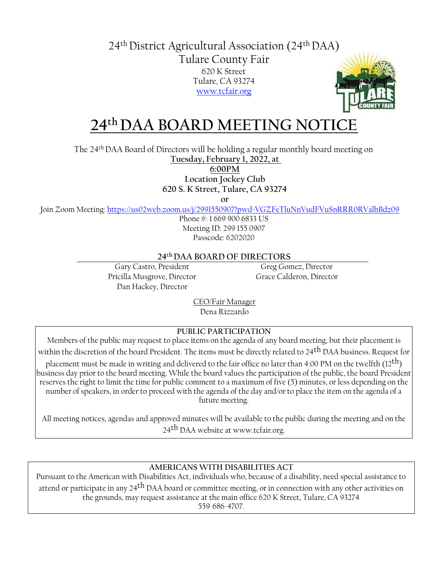24th District Agricultural Association (24th DAA) Tulare County Fair 620 K Street Tulare, CA 93274 [www.tcfair.org](http://www.tcfair.org/)



## **24th DAA BOARD MEETING NOTICE**

The 24th DAA Board of Directors will be holding a regular monthly board meeting on

**Tuesday, February 1, 2022, at** 

**6:00PM**

**Location Jockey Club**

**620 S. K Street, Tulare, CA 93274**

**or**

Join Zoom Meeting[: https://us02web.zoom.us/j/2991550907?pwd=VGZFeTluNnVudFVuSnRRR0RValhBdz09](https://us02web.zoom.us/j/2991550907?pwd=VGZFeTluNnVudFVuSnRRR0RValhBdz09)

Phone #: 1 669 900 6833 US Meeting ID: 299 155 0907 Passcode: 6202020

#### **24th DAA BOARD OF DIRECTORS**

Gary Castro, President Greg Gomez, Director Pricilla Musgrove, Director Grace Calderon, Director Dan Hackey, Director

CEO/Fair Manager Dena Rizzardo

#### **PUBLIC PARTICIPATION**

Members of the public may request to place items on the agenda of any board meeting, but their placement is within the discretion of the board President. The items must be directly related to 24th DAA business. Request for

placement must be made in writing and delivered to the fair office no later than 4:00 PM on the twelfth (12<sup>th</sup>) business day prior to the board meeting. While the board values the participation of the public, the board President reserves the right to limit the time for public comment to a maximum of five (5) minutes, or less depending on the number of speakers, in order to proceed with the agenda of the day and/or to place the item on the agenda of a future meeting.

All meeting notices, agendas and approved minutes will be available to the public during the meeting and on the 24<sup>th</sup> DAA [website at www.tcfair.org.](http://www.tcfair.org/)

#### **AMERICANS WITH DISABILITIES ACT**

Pursuant to the American with Disabilities Act, individuals who, because of a disability, need special assistance to attend or participate in any 24<sup>th</sup> DAA board or committee meeting, or in connection with any other activities on the grounds, may request assistance at the main office 620 K Street, Tulare, CA 93274 559-686-4707.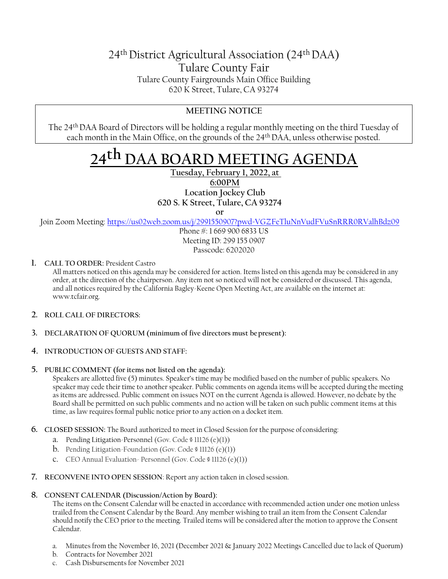## 24th District Agricultural Association (24th DAA) Tulare County Fair Tulare County Fairgrounds Main Office Building 620 K Street, Tulare, CA 93274

### **MEETING NOTICE**

The 24th DAA Board of Directors will be holding a regular monthly meeting on the third Tuesday of each month in the Main Office, on the grounds of the 24th DAA, unless otherwise posted.

# **24th DAA BOARD MEETING AGENDA**

**Tuesday, February 1, 2022, at 6:00PM Location Jockey Club 620 S. K Street, Tulare, CA 93274**

**or**

Join Zoom Meeting[: https://us02web.zoom.us/j/2991550907?pwd=VGZFeTluNnVudFVuSnRRR0RValhBdz09](https://us02web.zoom.us/j/2991550907?pwd=VGZFeTluNnVudFVuSnRRR0RValhBdz09)

Phone #: 1 669 900 6833 US Meeting ID: 299 155 0907 Passcode: 6202020

**1. CALL TO ORDER:** President Castro

All matters noticed on this agenda may be considered for action. Items listed on this agenda may be considered in any order, at the direction of the chairperson. Any item not so noticed will not be considered or discussed. This agenda, and all notices required by the California Bagley-Keene Open Meeting Act, are available on the internet at: [www.tcfair.org.](http://www.tcfair.org/)

- **2. ROLL CALL OF DIRECTORS:**
- **3. DECLARATION OF QUORUM (minimum of five directors must bepresent):**
- **4. INTRODUCTION OF GUESTS AND STAFF:**
- **5. PUBLIC COMMENT (for items not listed on the agenda):**

Speakers are allotted five (5) minutes. Speaker's time may be modified based on the number of public speakers. No speaker may cede their time to another speaker. Public comments on agenda items will be accepted during the meeting as items are addressed. Public comment on issues NOT on the current Agenda is allowed. However, no debate by the Board shall be permitted on such public comments and no action will be taken on such public comment items at this time, as law requires formal public notice prior to any action on a docket item.

- **6. CLOSED SESSION:** The Board authorized to meet in Closed Session for the purpose ofconsidering:
	- a. Pending Litigation-Personnel (Gov. Code § 11126 (e)(1))
	- b. Pending Litigation-Foundation (Gov. Code § 11126 (e)(1))
	- c. CEO Annual Evaluation- Personnel (Gov. Code § 11126 (e)(1))
- **7. RECONVENE INTO OPEN SESSION**: Report any action taken in closed session.
- **8. CONSENT CALENDAR (Discussion/Action by Board):**

The items on the Consent Calendar will be enacted in accordance with recommended action under one motion unless trailed from the Consent Calendar by the Board. Any member wishing to trail an item from the Consent Calendar should notify the CEO prior to the meeting. Trailed items will be considered after the motion to approve the Consent Calendar.

- a. Minutes from the November 16, 2021 (December 2021 & January 2022 Meetings Cancelled due to lack of Quorum)
- b. Contracts for November 2021
- c. Cash Disbursements for November 2021